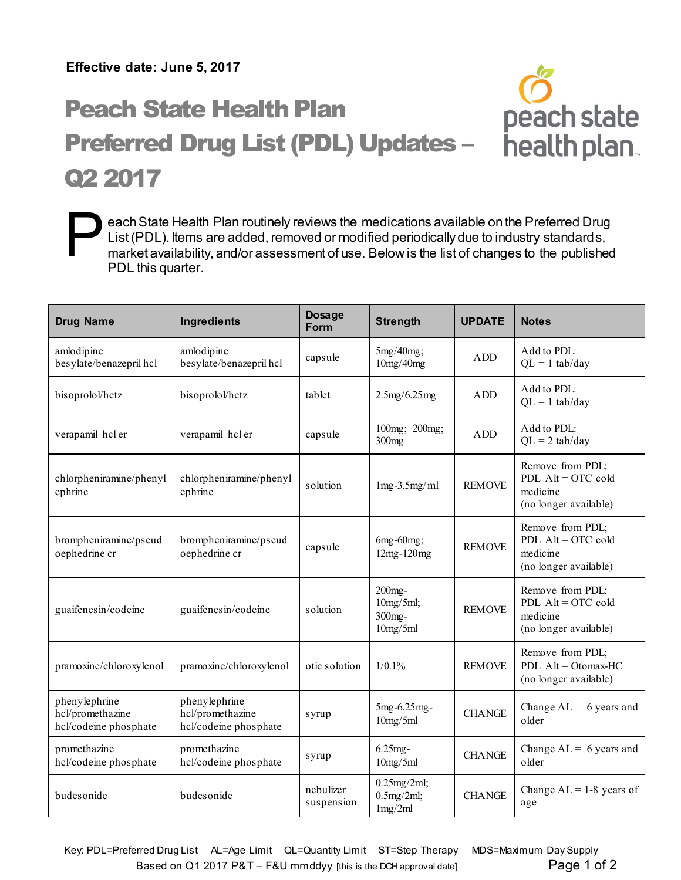## Peach State Health Plan Preferred Drug List (PDL) Updates – Q2 2017



| <b>Drug Name</b>                                           | Ingredients                                                | <b>Dosage</b><br>Form   | <b>Strength</b>                              | <b>UPDATE</b> | <b>Notes</b>                                                                  |
|------------------------------------------------------------|------------------------------------------------------------|-------------------------|----------------------------------------------|---------------|-------------------------------------------------------------------------------|
| amlodipine<br>besylate/benazepril hcl                      | amlodipine<br>besylate/benazepril hcl                      | capsule                 | $5mg/40mg$ ;<br>10mg/40mg                    | <b>ADD</b>    | Add to PDL:<br>$QL = 1$ tab/day                                               |
| bisoprolol/hctz                                            | bisoprolol/hctz                                            | tablet                  | 2.5mg/6.25mg                                 | ADD.          | Add to PDL:<br>$QL = 1$ tab/day                                               |
| verapamil hel er                                           | verapamil hcl er                                           | capsule                 | 100mg; 200mg;<br>300mg                       | ADD           | Add to PDL:<br>$QL = 2$ tab/day                                               |
| chlorpheniramine/phenyl<br>ephrine                         | chlorpheniramine/phenyl<br>ephrine                         | solution                | $1mg-3.5mg/ml$                               | <b>REMOVE</b> | Remove from PDL;<br>PDL $Alt = OTC$ cold<br>medicine<br>(no longer available) |
| brompheniramine/pseud<br>oephedrine cr                     | brompheniramine/pseud<br>oephedrine cr                     | capsule                 | 6mg-60mg;<br>12mg-120mg                      | <b>REMOVE</b> | Remove from PDL;<br>PDL $Alt = OTC$ cold<br>medicine<br>(no longer available) |
| guaifenes in/codeine                                       | guaifenes in/codeine                                       | solution                | $200$ mg-<br>10mg/5ml;<br>300mg-<br>10mg/5ml | <b>REMOVE</b> | Remove from PDL;<br>PDL $Alt = OTC$ cold<br>medicine<br>(no longer available) |
| pramoxine/chloroxylenol                                    | pramoxine/chloroxylenol                                    | otic solution           | $1/0.1\%$                                    | <b>REMOVE</b> | Remove from PDL;<br>PDL $Alt = Otomax-HC$<br>(no longer available)            |
| phenylephrine<br>hcl/promethazine<br>hcl/codeine phosphate | phenylephrine<br>hcl/promethazine<br>hcl/codeine phosphate | syrup                   | 5mg-6.25mg-<br>10mg/5ml                      | <b>CHANGE</b> | Change $AL = 6$ years and<br>older                                            |
| promethazine<br>hcl/codeine phosphate                      | promethazine<br>hcl/codeine phosphate                      | syrup                   | $6.25mg -$<br>10mg/5ml                       | <b>CHANGE</b> | Change $AL = 6$ years and<br>older                                            |
| budesonide                                                 | budesonide                                                 | nebulizer<br>suspension | $0.25$ mg/2ml;<br>0.5mg/2ml;<br>1mg/2ml      | <b>CHANGE</b> | Change $AL = 1-8$ years of<br>age                                             |

Based on Q1 2017 P&T – F&U mmddyy [this is the DCH approval date] Page 1 of 2 Key: PDL=Preferred Drug List AL=Age Limit QL=Quantity Limit ST=Step Therapy MDS=Maximum Day Supply

peach state

health plan.